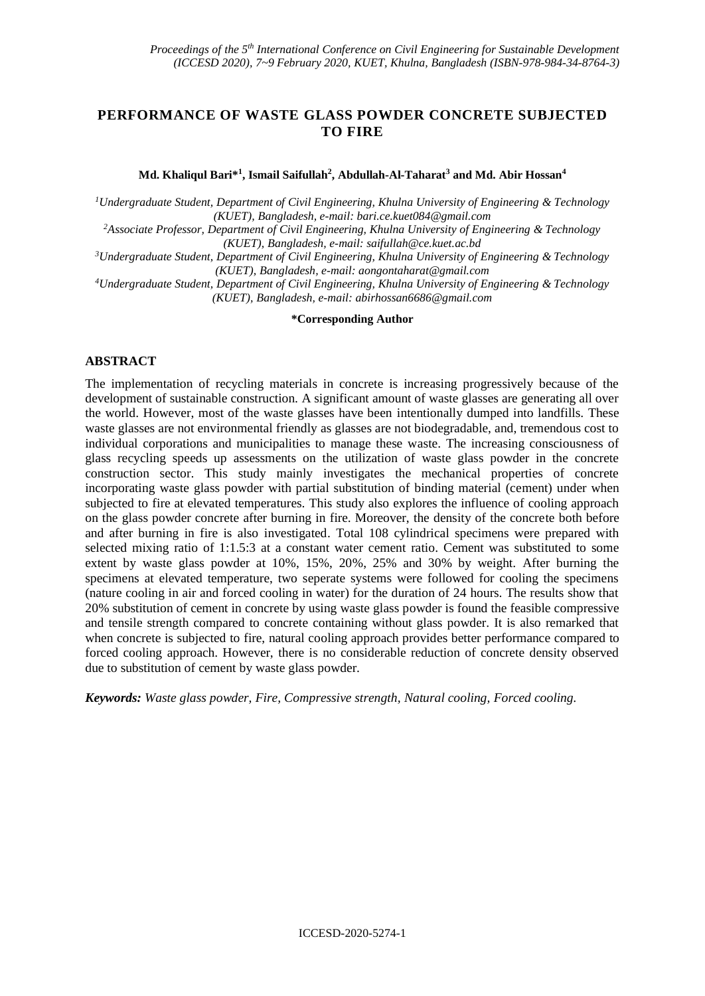# **PERFORMANCE OF WASTE GLASS POWDER CONCRETE SUBJECTED TO FIRE**

**Md. Khaliqul Bari\*<sup>1</sup> , Ismail Saifullah<sup>2</sup> , Abdullah-Al-Taharat<sup>3</sup> and Md. Abir Hossan<sup>4</sup>**

*<sup>1</sup>Undergraduate Student, Department of Civil Engineering, Khulna University of Engineering & Technology (KUET), Bangladesh, e-mail[: bari.ce.kuet084@gmail.com](mailto:bari.ce.kuet084@gmail.com)*

*<sup>2</sup>Associate Professor, Department of Civil Engineering, Khulna University of Engineering & Technology (KUET), Bangladesh, e-mail: [saifullah@ce.kuet.ac.bd](mailto:saifullah@ce.kuet.ac.bd)*

*<sup>3</sup>Undergraduate Student, Department of Civil Engineering, Khulna University of Engineering & Technology (KUET), Bangladesh, e-mail: [aongontaharat@gmail.com](mailto:aongontaharat@gmail.com)*

*<sup>4</sup>Undergraduate Student, Department of Civil Engineering, Khulna University of Engineering & Technology (KUET), Bangladesh, e-mail: [abirhossan6686@gmail.com](mailto:abirhossan6686@gmail.com)*

#### **\*Corresponding Author**

#### **ABSTRACT**

The implementation of recycling materials in concrete is increasing progressively because of the development of sustainable construction. A significant amount of waste glasses are generating all over the world. However, most of the waste glasses have been intentionally dumped into landfills. These waste glasses are not environmental friendly as glasses are not biodegradable, and, tremendous cost to individual corporations and municipalities to manage these waste. The increasing consciousness of glass recycling speeds up assessments on the utilization of waste glass powder in the concrete construction sector. This study mainly investigates the mechanical properties of concrete incorporating waste glass powder with partial substitution of binding material (cement) under when subjected to fire at elevated temperatures. This study also explores the influence of cooling approach on the glass powder concrete after burning in fire. Moreover, the density of the concrete both before and after burning in fire is also investigated. Total 108 cylindrical specimens were prepared with selected mixing ratio of 1:1.5:3 at a constant water cement ratio. Cement was substituted to some extent by waste glass powder at 10%, 15%, 20%, 25% and 30% by weight. After burning the specimens at elevated temperature, two seperate systems were followed for cooling the specimens (nature cooling in air and forced cooling in water) for the duration of 24 hours. The results show that 20% substitution of cement in concrete by using waste glass powder is found the feasible compressive and tensile strength compared to concrete containing without glass powder. It is also remarked that when concrete is subjected to fire, natural cooling approach provides better performance compared to forced cooling approach. However, there is no considerable reduction of concrete density observed due to substitution of cement by waste glass powder.

*Keywords: Waste glass powder, Fire, Compressive strength, Natural cooling, Forced cooling.*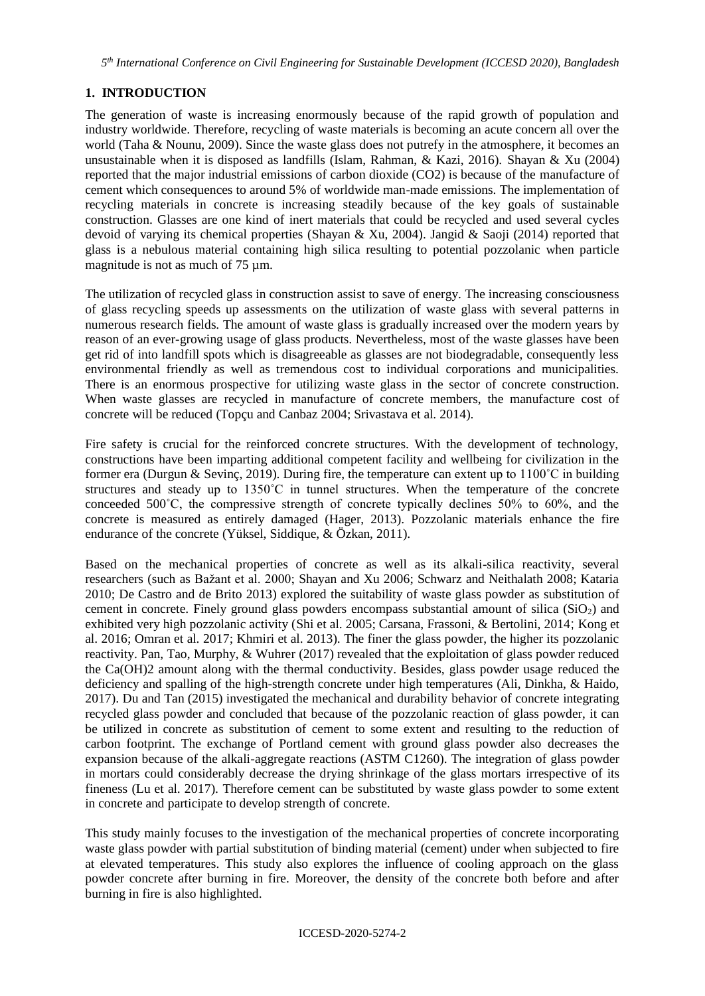# **1. INTRODUCTION**

The generation of waste is increasing enormously because of the rapid growth of population and industry worldwide. Therefore, recycling of waste materials is becoming an acute concern all over the world (Taha & Nounu, 2009). Since the waste glass does not putrefy in the atmosphere, it becomes an unsustainable when it is disposed as landfills (Islam, Rahman, & Kazi, 2016). Shayan & Xu (2004) reported that the major industrial emissions of carbon dioxide (CO2) is because of the manufacture of cement which consequences to around 5% of worldwide man-made emissions. The implementation of recycling materials in concrete is increasing steadily because of the key goals of sustainable construction. Glasses are one kind of inert materials that could be recycled and used several cycles devoid of varying its chemical properties (Shayan & Xu, 2004). Jangid & Saoji (2014) reported that glass is a nebulous material containing high silica resulting to potential pozzolanic when particle magnitude is not as much of 75  $\mu$ m.

The utilization of recycled glass in construction assist to save of energy. The increasing consciousness of glass recycling speeds up assessments on the utilization of waste glass with several patterns in numerous research fields. The amount of waste glass is gradually increased over the modern years by reason of an ever-growing usage of glass products. Nevertheless, most of the waste glasses have been get rid of into landfill spots which is disagreeable as glasses are not biodegradable, consequently less environmental friendly as well as tremendous cost to individual corporations and municipalities. There is an enormous prospective for utilizing waste glass in the sector of concrete construction. When waste glasses are recycled in manufacture of concrete members, the manufacture cost of concrete will be reduced (Topçu and Canbaz 2004; Srivastava et al. 2014).

Fire safety is crucial for the reinforced concrete structures. With the development of technology, constructions have been imparting additional competent facility and wellbeing for civilization in the former era (Durgun & Sevinç, 2019). During fire, the temperature can extent up to 1100˚C in building structures and steady up to 1350˚C in tunnel structures. When the temperature of the concrete conceeded  $500^{\circ}$ C, the compressive strength of concrete typically declines  $50\%$  to  $60\%$ , and the concrete is measured as entirely damaged (Hager, 2013). Pozzolanic materials enhance the fire endurance of the concrete (Yüksel, Siddique, & Özkan, 2011).

Based on the mechanical properties of concrete as well as its alkali-silica reactivity, several researchers (such as Bažant et al. 2000; Shayan and Xu 2006; Schwarz and Neithalath 2008; Kataria 2010; De Castro and de Brito 2013) explored the suitability of waste glass powder as substitution of cement in concrete. Finely ground glass powders encompass substantial amount of silica  $(SiO<sub>2</sub>)$  and exhibited very high pozzolanic activity (Shi et al. 2005; Carsana, Frassoni, & Bertolini, 2014; Kong et al. 2016; Omran et al. 2017; Khmiri et al. 2013). The finer the glass powder, the higher its pozzolanic reactivity. Pan, Tao, Murphy, & Wuhrer (2017) revealed that the exploitation of glass powder reduced the Ca(OH)2 amount along with the thermal conductivity. Besides, glass powder usage reduced the deficiency and spalling of the high-strength concrete under high temperatures (Ali, Dinkha, & Haido, 2017). Du and Tan (2015) investigated the mechanical and durability behavior of concrete integrating recycled glass powder and concluded that because of the pozzolanic reaction of glass powder, it can be utilized in concrete as substitution of cement to some extent and resulting to the reduction of carbon footprint. The exchange of Portland cement with ground glass powder also decreases the expansion because of the alkali-aggregate reactions (ASTM C1260). The integration of glass powder in mortars could considerably decrease the drying shrinkage of the glass mortars irrespective of its fineness (Lu et al. 2017). Therefore cement can be substituted by waste glass powder to some extent in concrete and participate to develop strength of concrete.

This study mainly focuses to the investigation of the mechanical properties of concrete incorporating waste glass powder with partial substitution of binding material (cement) under when subjected to fire at elevated temperatures. This study also explores the influence of cooling approach on the glass powder concrete after burning in fire. Moreover, the density of the concrete both before and after burning in fire is also highlighted.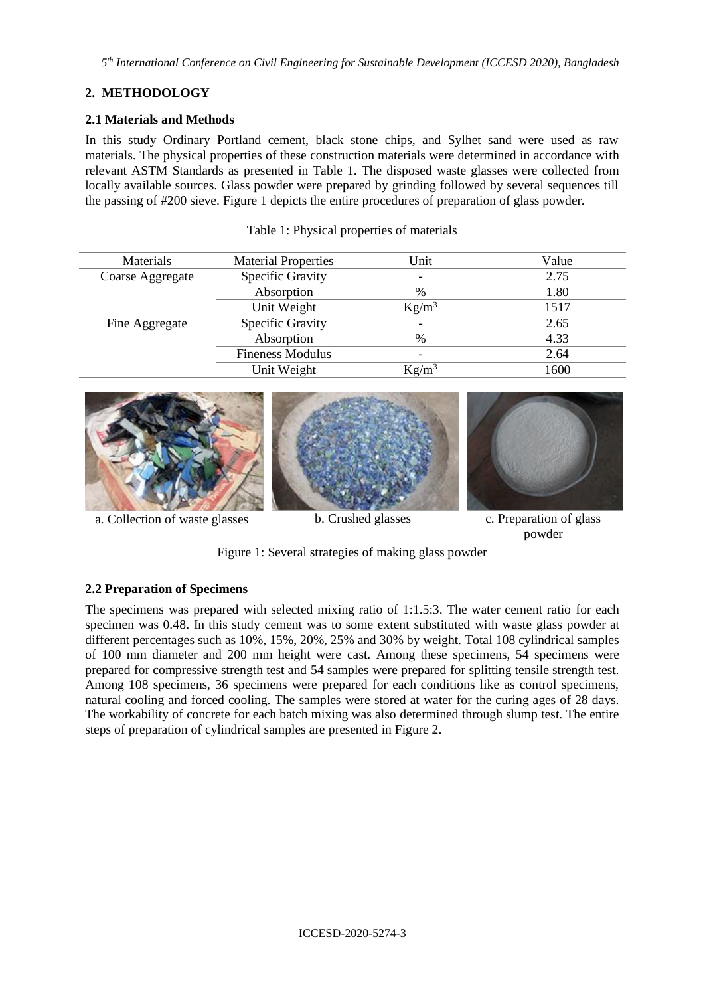# **2. METHODOLOGY**

#### **2.1 Materials and Methods**

In this study Ordinary Portland cement, black stone chips, and Sylhet sand were used as raw materials. The physical properties of these construction materials were determined in accordance with relevant ASTM Standards as presented in Table 1. The disposed waste glasses were collected from locally available sources. Glass powder were prepared by grinding followed by several sequences till the passing of #200 sieve. Figure 1 depicts the entire procedures of preparation of glass powder.

| Materials        | <b>Material Properties</b> | Unit                     | Value |
|------------------|----------------------------|--------------------------|-------|
| Coarse Aggregate | Specific Gravity           | ۰                        | 2.75  |
|                  | Absorption                 | $\frac{0}{0}$            | 1.80  |
|                  | Unit Weight                | $Kg/m^3$                 | 1517  |
| Fine Aggregate   | Specific Gravity           | $\overline{\phantom{0}}$ | 2.65  |
|                  | Absorption                 | $\frac{0}{0}$            | 4.33  |
|                  | <b>Fineness Modulus</b>    |                          | 2.64  |
|                  | Unit Weight                | $Kg/m^3$                 | 1600  |

#### Table 1: Physical properties of materials



a. Collection of waste glasses b. Crushed glasses c. Preparation of glass

powder

Figure 1: Several strategies of making glass powder

## **2.2 Preparation of Specimens**

The specimens was prepared with selected mixing ratio of 1:1.5:3. The water cement ratio for each specimen was 0.48. In this study cement was to some extent substituted with waste glass powder at different percentages such as 10%, 15%, 20%, 25% and 30% by weight. Total 108 cylindrical samples of 100 mm diameter and 200 mm height were cast. Among these specimens, 54 specimens were prepared for compressive strength test and 54 samples were prepared for splitting tensile strength test. Among 108 specimens, 36 specimens were prepared for each conditions like as control specimens, natural cooling and forced cooling. The samples were stored at water for the curing ages of 28 days. The workability of concrete for each batch mixing was also determined through slump test. The entire steps of preparation of cylindrical samples are presented in Figure 2.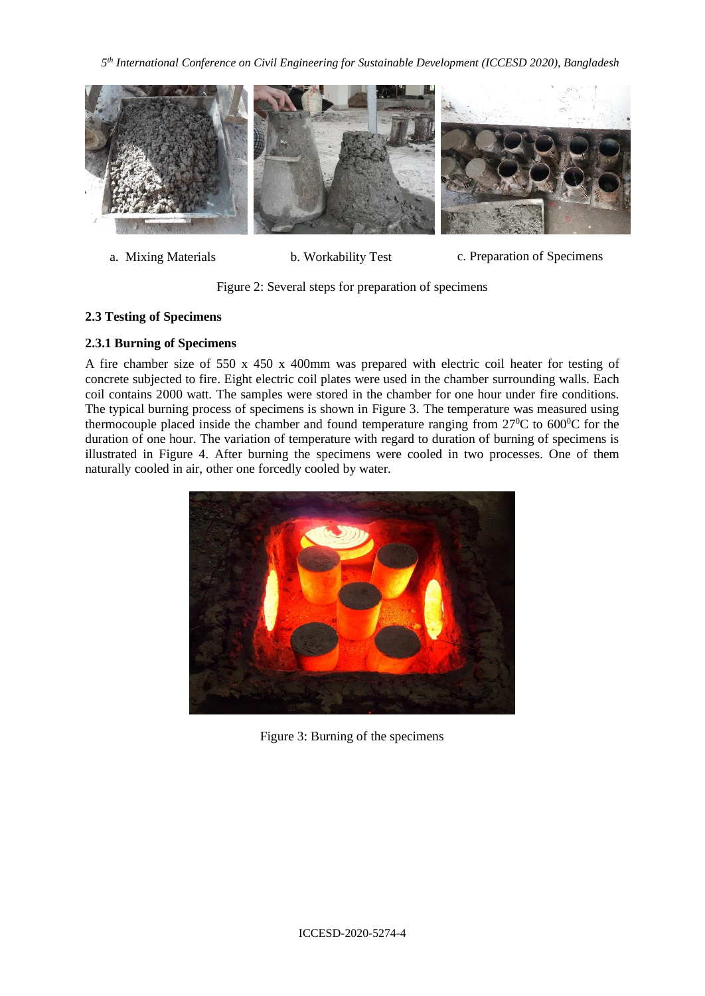*5 th International Conference on Civil Engineering for Sustainable Development (ICCESD 2020), Bangladesh*



a. Mixing Materials b. Workability Test c. Preparation of Specimens

Figure 2: Several steps for preparation of specimens

# **2.3 Testing of Specimens**

# **2.3.1 Burning of Specimens**

A fire chamber size of 550 x 450 x 400mm was prepared with electric coil heater for testing of concrete subjected to fire. Eight electric coil plates were used in the chamber surrounding walls. Each coil contains 2000 watt. The samples were stored in the chamber for one hour under fire conditions. The typical burning process of specimens is shown in Figure 3. The temperature was measured using thermocouple placed inside the chamber and found temperature ranging from  $27^{\circ}$ C to  $600^{\circ}$ C for the duration of one hour. The variation of temperature with regard to duration of burning of specimens is illustrated in Figure 4. After burning the specimens were cooled in two processes. One of them naturally cooled in air, other one forcedly cooled by water.



Figure 3: Burning of the specimens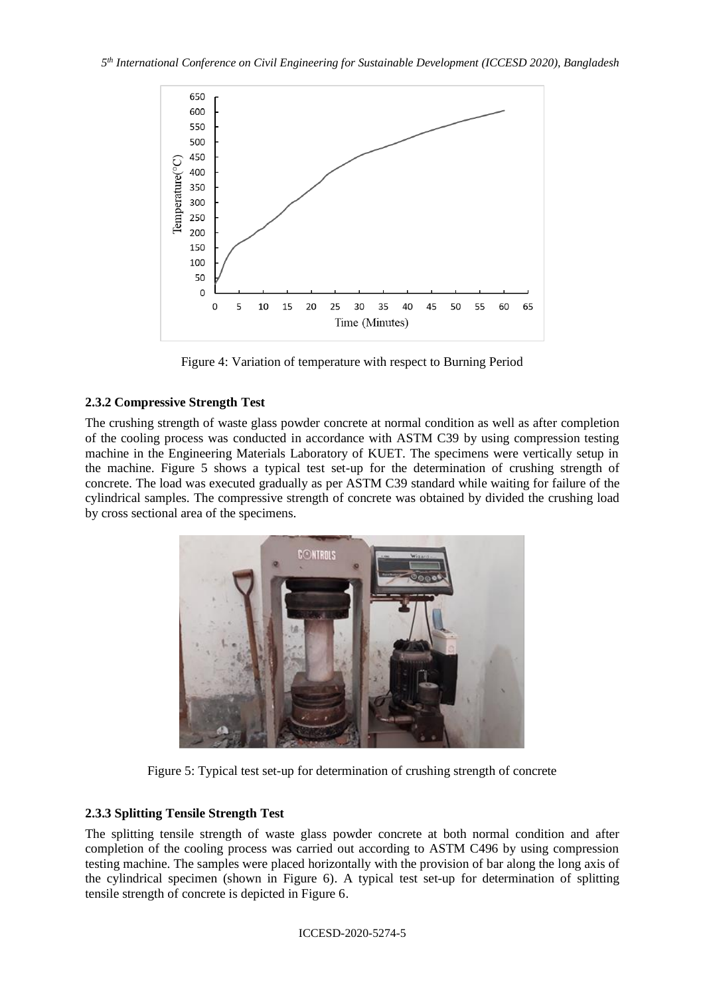

Figure 4: Variation of temperature with respect to Burning Period

# **2.3.2 Compressive Strength Test**

The crushing strength of waste glass powder concrete at normal condition as well as after completion of the cooling process was conducted in accordance with ASTM C39 by using compression testing machine in the Engineering Materials Laboratory of KUET. The specimens were vertically setup in the machine. Figure 5 shows a typical test set-up for the determination of crushing strength of concrete. The load was executed gradually as per ASTM C39 standard while waiting for failure of the cylindrical samples. The compressive strength of concrete was obtained by divided the crushing load by cross sectional area of the specimens.



Figure 5: Typical test set-up for determination of crushing strength of concrete

# **2.3.3 Splitting Tensile Strength Test**

The splitting tensile strength of waste glass powder concrete at both normal condition and after completion of the cooling process was carried out according to ASTM C496 by using compression testing machine. The samples were placed horizontally with the provision of bar along the long axis of the cylindrical specimen (shown in Figure 6). A typical test set-up for determination of splitting tensile strength of concrete is depicted in Figure 6.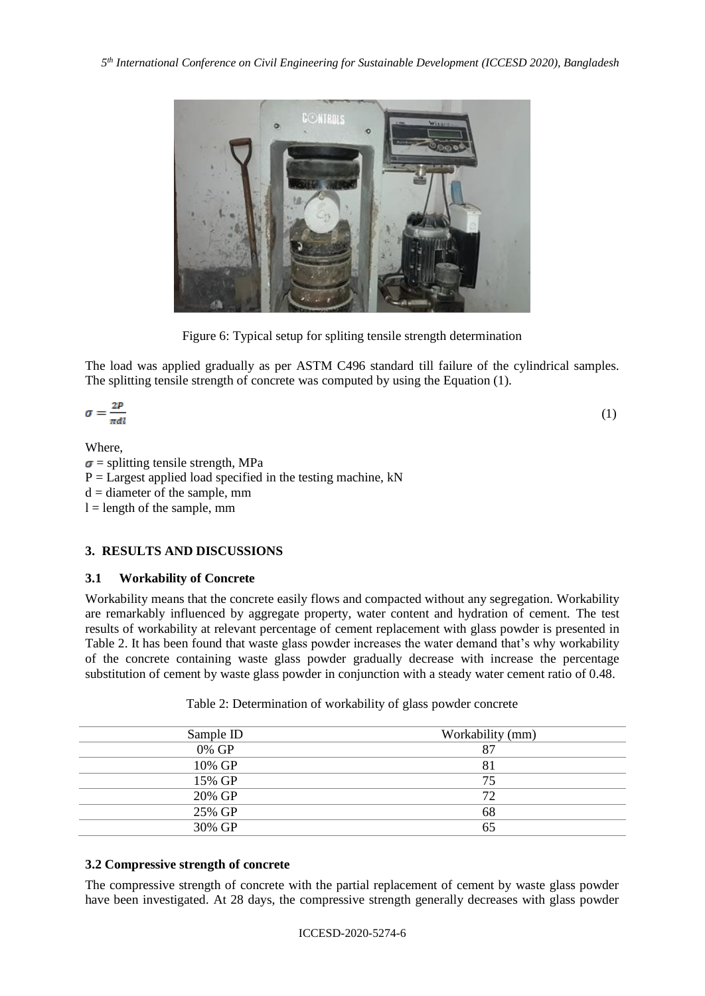

Figure 6: Typical setup for spliting tensile strength determination

The load was applied gradually as per ASTM C496 standard till failure of the cylindrical samples. The splitting tensile strength of concrete was computed by using the Equation (1).

$$
\sigma = \frac{2P}{\pi dl} \tag{1}
$$

### Where,

 $\sigma$  = splitting tensile strength, MPa  $P =$  Largest applied load specified in the testing machine, kN  $d =$  diameter of the sample, mm  $l =$  length of the sample, mm

### **3. RESULTS AND DISCUSSIONS**

### **3.1 Workability of Concrete**

Workability means that the concrete easily flows and compacted without any segregation. Workability are remarkably influenced by aggregate property, water content and hydration of cement. The test results of workability at relevant percentage of cement replacement with glass powder is presented in Table 2. It has been found that waste glass powder increases the water demand that's why workability of the concrete containing waste glass powder gradually decrease with increase the percentage substitution of cement by waste glass powder in conjunction with a steady water cement ratio of 0.48.

| Sample ID | Workability (mm) |
|-----------|------------------|
| 0% GP     | 87               |
| 10% GP    | 81               |
| 15% GP    | 75               |
| 20% GP    | 72               |
| 25% GP    | 68               |
| 30% GP    | 65               |

Table 2: Determination of workability of glass powder concrete

### **3.2 Compressive strength of concrete**

The compressive strength of concrete with the partial replacement of cement by waste glass powder have been investigated. At 28 days, the compressive strength generally decreases with glass powder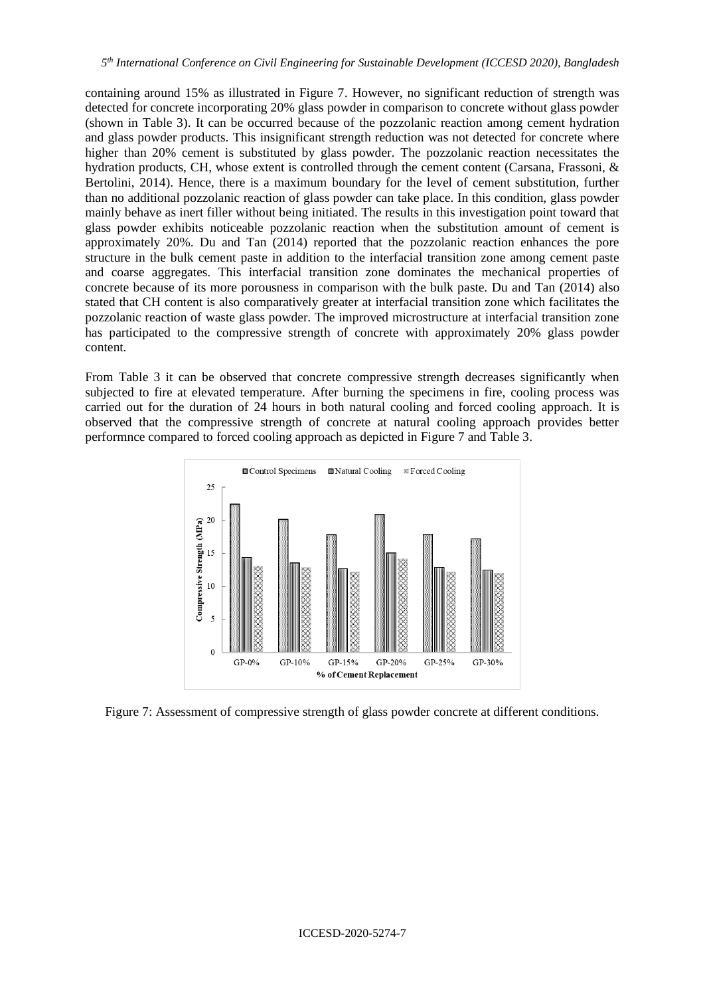containing around 15% as illustrated in Figure 7. However, no significant reduction of strength was detected for concrete incorporating 20% glass powder in comparison to concrete without glass powder (shown in Table 3). It can be occurred because of the pozzolanic reaction among cement hydration and glass powder products. This insignificant strength reduction was not detected for concrete where higher than 20% cement is substituted by glass powder. The pozzolanic reaction necessitates the hydration products, CH, whose extent is controlled through the cement content (Carsana, Frassoni, & Bertolini, 2014). Hence, there is a maximum boundary for the level of cement substitution, further than no additional pozzolanic reaction of glass powder can take place. In this condition, glass powder mainly behave as inert filler without being initiated. The results in this investigation point toward that glass powder exhibits noticeable pozzolanic reaction when the substitution amount of cement is approximately 20%. Du and Tan (2014) reported that the pozzolanic reaction enhances the pore structure in the bulk cement paste in addition to the interfacial transition zone among cement paste and coarse aggregates. This interfacial transition zone dominates the mechanical properties of concrete because of its more porousness in comparison with the bulk paste. Du and Tan (2014) also stated that CH content is also comparatively greater at interfacial transition zone which facilitates the pozzolanic reaction of waste glass powder. The improved microstructure at interfacial transition zone has participated to the compressive strength of concrete with approximately 20% glass powder content.

From Table 3 it can be observed that concrete compressive strength decreases significantly when subjected to fire at elevated temperature. After burning the specimens in fire, cooling process was carried out for the duration of 24 hours in both natural cooling and forced cooling approach. It is observed that the compressive strength of concrete at natural cooling approach provides better performnce compared to forced cooling approach as depicted in Figure 7 and Table 3.



Figure 7: Assessment of compressive strength of glass powder concrete at different conditions.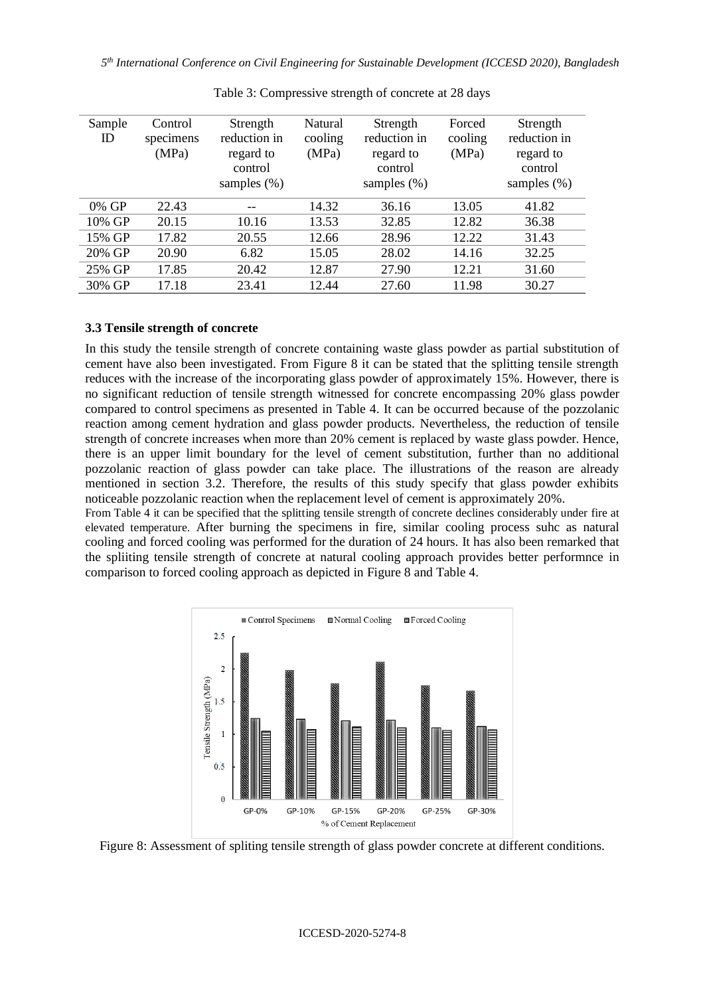| Sample<br>ID | Control<br>specimens<br>(MPa) | Strength<br>reduction in<br>regard to<br>control<br>samples $(\%)$ | Natural<br>cooling<br>(MPa) | Strength<br>reduction in<br>regard to<br>control<br>samples $(\%)$ | Forced<br>cooling<br>(MPa) | Strength<br>reduction in<br>regard to<br>control<br>samples $(\%)$ |
|--------------|-------------------------------|--------------------------------------------------------------------|-----------------------------|--------------------------------------------------------------------|----------------------------|--------------------------------------------------------------------|
| 0% GP        | 22.43                         | $-$                                                                | 14.32                       | 36.16                                                              | 13.05                      | 41.82                                                              |
| 10% GP       | 20.15                         | 10.16                                                              | 13.53                       | 32.85                                                              | 12.82                      | 36.38                                                              |
| 15% GP       | 17.82                         | 20.55                                                              | 12.66                       | 28.96                                                              | 12.22                      | 31.43                                                              |
| 20% GP       | 20.90                         | 6.82                                                               | 15.05                       | 28.02                                                              | 14.16                      | 32.25                                                              |
| 25% GP       | 17.85                         | 20.42                                                              | 12.87                       | 27.90                                                              | 12.21                      | 31.60                                                              |
| 30% GP       | 17.18                         | 23.41                                                              | 12.44                       | 27.60                                                              | 11.98                      | 30.27                                                              |

Table 3: Compressive strength of concrete at 28 days

#### **3.3 Tensile strength of concrete**

In this study the tensile strength of concrete containing waste glass powder as partial substitution of cement have also been investigated. From Figure 8 it can be stated that the splitting tensile strength reduces with the increase of the incorporating glass powder of approximately 15%. However, there is no significant reduction of tensile strength witnessed for concrete encompassing 20% glass powder compared to control specimens as presented in Table 4. It can be occurred because of the pozzolanic reaction among cement hydration and glass powder products. Nevertheless, the reduction of tensile strength of concrete increases when more than 20% cement is replaced by waste glass powder. Hence, there is an upper limit boundary for the level of cement substitution, further than no additional pozzolanic reaction of glass powder can take place. The illustrations of the reason are already mentioned in section 3.2. Therefore, the results of this study specify that glass powder exhibits noticeable pozzolanic reaction when the replacement level of cement is approximately 20%.

From Table 4 it can be specified that the splitting tensile strength of concrete declines considerably under fire at elevated temperature. After burning the specimens in fire, similar cooling process suhc as natural cooling and forced cooling was performed for the duration of 24 hours. It has also been remarked that the spliiting tensile strength of concrete at natural cooling approach provides better performnce in comparison to forced cooling approach as depicted in Figure 8 and Table 4.



Figure 8: Assessment of spliting tensile strength of glass powder concrete at different conditions.

#### ICCESD-2020-5274-8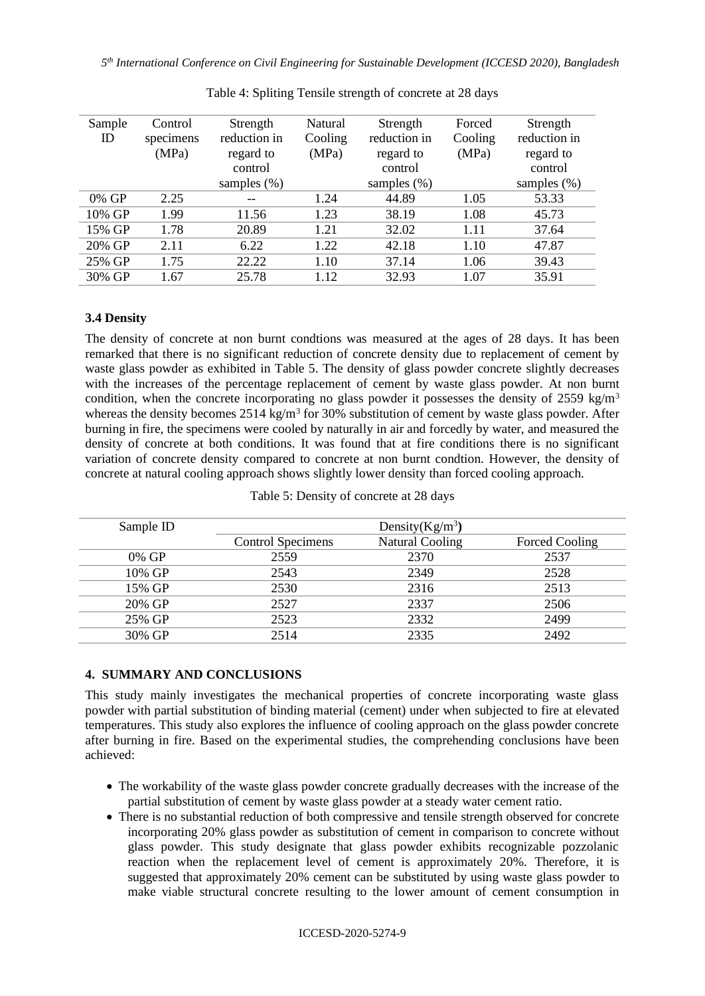| Sample<br>ID | Control<br>specimens | Strength<br>reduction in | Natural<br>Cooling | Strength<br>reduction in | Forced<br>Cooling | Strength<br>reduction in |
|--------------|----------------------|--------------------------|--------------------|--------------------------|-------------------|--------------------------|
|              | (MPa)                | regard to                | (MPa)              | regard to                | (MPa)             | regard to                |
|              |                      | control                  |                    | control                  |                   | control                  |
|              |                      | samples $(\%)$           |                    | samples $(\%)$           |                   | samples $(\%)$           |
| 0% GP        | 2.25                 |                          | 1.24               | 44.89                    | 1.05              | 53.33                    |
| 10% GP       | 1.99                 | 11.56                    | 1.23               | 38.19                    | 1.08              | 45.73                    |
| 15% GP       | 1.78                 | 20.89                    | 1.21               | 32.02                    | 1.11              | 37.64                    |
| 20% GP       | 2.11                 | 6.22                     | 1.22               | 42.18                    | 1.10              | 47.87                    |
| 25% GP       | 1.75                 | 22.22                    | 1.10               | 37.14                    | 1.06              | 39.43                    |
| 30% GP       | 1.67                 | 25.78                    | 1.12               | 32.93                    | 1.07              | 35.91                    |

Table 4: Spliting Tensile strength of concrete at 28 days

#### **3.4 Density**

The density of concrete at non burnt condtions was measured at the ages of 28 days. It has been remarked that there is no significant reduction of concrete density due to replacement of cement by waste glass powder as exhibited in Table 5. The density of glass powder concrete slightly decreases with the increases of the percentage replacement of cement by waste glass powder. At non burnt condition, when the concrete incorporating no glass powder it possesses the density of 2559 kg/m<sup>3</sup> whereas the density becomes  $2514 \text{ kg/m}^3$  for 30% substitution of cement by waste glass powder. After burning in fire, the specimens were cooled by naturally in air and forcedly by water, and measured the density of concrete at both conditions. It was found that at fire conditions there is no significant variation of concrete density compared to concrete at non burnt condtion. However, the density of concrete at natural cooling approach shows slightly lower density than forced cooling approach.

| Sample ID | Density $(Kg/m^3)$       |                        |                |  |  |
|-----------|--------------------------|------------------------|----------------|--|--|
|           | <b>Control Specimens</b> | <b>Natural Cooling</b> | Forced Cooling |  |  |
| 0% GP     | 2559                     | 2370                   | 2537           |  |  |
| 10% GP    | 2543                     | 2349                   | 2528           |  |  |
| 15% GP    | 2530                     | 2316                   | 2513           |  |  |
| 20% GP    | 2527                     | 2337                   | 2506           |  |  |
| 25% GP    | 2523                     | 2332                   | 2499           |  |  |
| 30% GP    | 2514                     | 2335                   | 2492           |  |  |

#### Table 5: Density of concrete at 28 days

#### **4. SUMMARY AND CONCLUSIONS**

This study mainly investigates the mechanical properties of concrete incorporating waste glass powder with partial substitution of binding material (cement) under when subjected to fire at elevated temperatures. This study also explores the influence of cooling approach on the glass powder concrete after burning in fire. Based on the experimental studies, the comprehending conclusions have been achieved:

- The workability of the waste glass powder concrete gradually decreases with the increase of the partial substitution of cement by waste glass powder at a steady water cement ratio.
- There is no substantial reduction of both compressive and tensile strength observed for concrete incorporating 20% glass powder as substitution of cement in comparison to concrete without glass powder. This study designate that glass powder exhibits recognizable pozzolanic reaction when the replacement level of cement is approximately 20%. Therefore, it is suggested that approximately 20% cement can be substituted by using waste glass powder to make viable structural concrete resulting to the lower amount of cement consumption in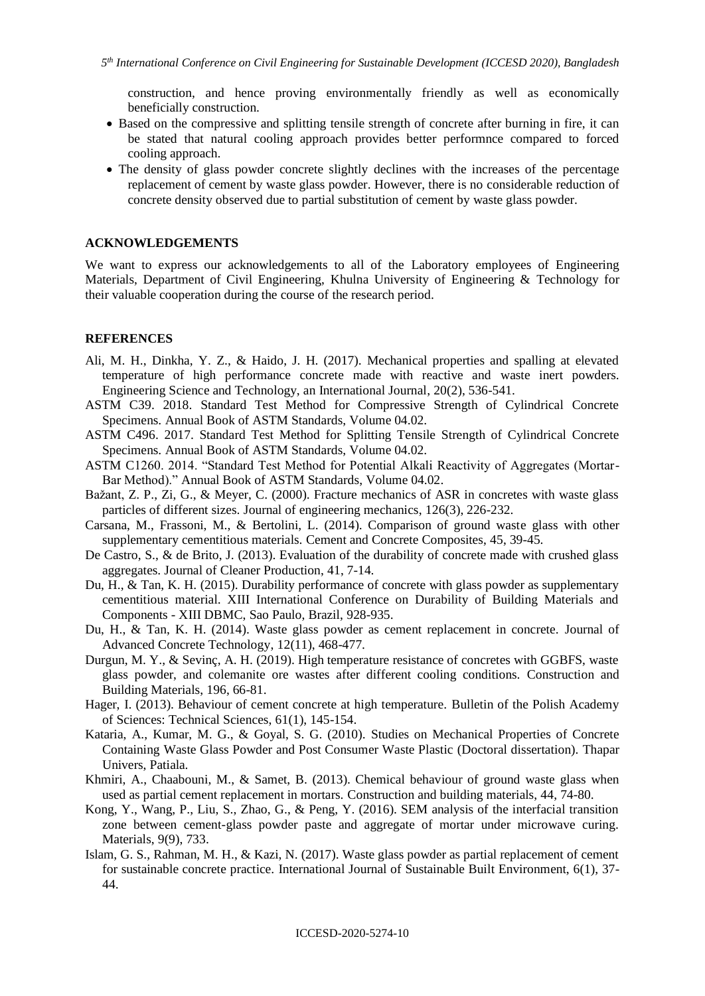construction, and hence proving environmentally friendly as well as economically beneficially construction.

- Based on the compressive and splitting tensile strength of concrete after burning in fire, it can be stated that natural cooling approach provides better performnce compared to forced cooling approach.
- The density of glass powder concrete slightly declines with the increases of the percentage replacement of cement by waste glass powder. However, there is no considerable reduction of concrete density observed due to partial substitution of cement by waste glass powder.

#### **ACKNOWLEDGEMENTS**

We want to express our acknowledgements to all of the Laboratory employees of Engineering Materials, Department of Civil Engineering, Khulna University of Engineering & Technology for their valuable cooperation during the course of the research period.

#### **REFERENCES**

- Ali, M. H., Dinkha, Y. Z., & Haido, J. H. (2017). Mechanical properties and spalling at elevated temperature of high performance concrete made with reactive and waste inert powders. Engineering Science and Technology, an International Journal, 20(2), 536-541.
- ASTM C39. 2018. Standard Test Method for Compressive Strength of Cylindrical Concrete Specimens. Annual Book of ASTM Standards, Volume 04.02.
- ASTM C496. 2017. Standard Test Method for Splitting Tensile Strength of Cylindrical Concrete Specimens. Annual Book of ASTM Standards, Volume 04.02.
- ASTM C1260. 2014. "Standard Test Method for Potential Alkali Reactivity of Aggregates (Mortar-Bar Method)." Annual Book of ASTM Standards, Volume 04.02.
- Bažant, Z. P., Zi, G., & Meyer, C. (2000). Fracture mechanics of ASR in concretes with waste glass particles of different sizes. Journal of engineering mechanics, 126(3), 226-232.
- Carsana, M., Frassoni, M., & Bertolini, L. (2014). Comparison of ground waste glass with other supplementary cementitious materials. Cement and Concrete Composites, 45, 39-45.
- De Castro, S., & de Brito, J. (2013). Evaluation of the durability of concrete made with crushed glass aggregates. Journal of Cleaner Production, 41, 7-14.
- Du, H., & Tan, K. H. (2015). Durability performance of concrete with glass powder as supplementary cementitious material. XIII International Conference on Durability of Building Materials and Components - XIII DBMC, Sao Paulo, Brazil, 928-935.
- Du, H., & Tan, K. H. (2014). Waste glass powder as cement replacement in concrete. Journal of Advanced Concrete Technology, 12(11), 468-477.
- Durgun, M. Y., & Sevinç, A. H. (2019). High temperature resistance of concretes with GGBFS, waste glass powder, and colemanite ore wastes after different cooling conditions. Construction and Building Materials, 196, 66-81.
- Hager, I. (2013). Behaviour of cement concrete at high temperature. Bulletin of the Polish Academy of Sciences: Technical Sciences, 61(1), 145-154.
- Kataria, A., Kumar, M. G., & Goyal, S. G. (2010). Studies on Mechanical Properties of Concrete Containing Waste Glass Powder and Post Consumer Waste Plastic (Doctoral dissertation). Thapar Univers, Patiala.
- Khmiri, A., Chaabouni, M., & Samet, B. (2013). Chemical behaviour of ground waste glass when used as partial cement replacement in mortars. Construction and building materials, 44, 74-80.
- Kong, Y., Wang, P., Liu, S., Zhao, G., & Peng, Y. (2016). SEM analysis of the interfacial transition zone between cement-glass powder paste and aggregate of mortar under microwave curing. Materials, 9(9), 733.
- Islam, G. S., Rahman, M. H., & Kazi, N. (2017). Waste glass powder as partial replacement of cement for sustainable concrete practice. International Journal of Sustainable Built Environment, 6(1), 37- 44.